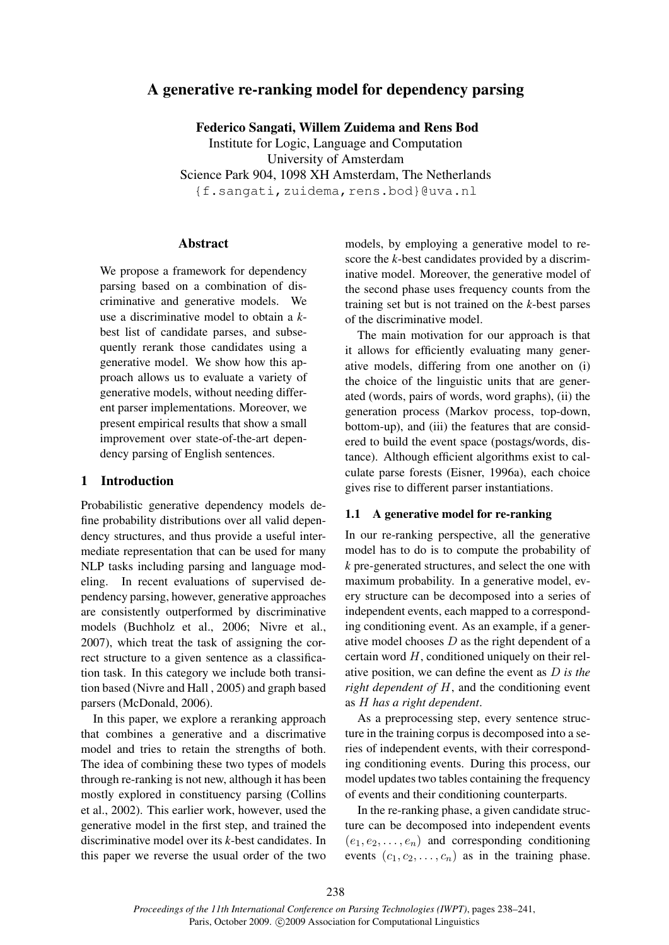# A generative re-ranking model for dependency parsing

Federico Sangati, Willem Zuidema and Rens Bod Institute for Logic, Language and Computation University of Amsterdam Science Park 904, 1098 XH Amsterdam, The Netherlands {f.sangati,zuidema,rens.bod}@uva.nl

## Abstract

We propose a framework for dependency parsing based on a combination of discriminative and generative models. We use a discriminative model to obtain a *k*best list of candidate parses, and subsequently rerank those candidates using a generative model. We show how this approach allows us to evaluate a variety of generative models, without needing different parser implementations. Moreover, we present empirical results that show a small improvement over state-of-the-art dependency parsing of English sentences.

## 1 Introduction

Probabilistic generative dependency models define probability distributions over all valid dependency structures, and thus provide a useful intermediate representation that can be used for many NLP tasks including parsing and language modeling. In recent evaluations of supervised dependency parsing, however, generative approaches are consistently outperformed by discriminative models (Buchholz et al., 2006; Nivre et al., 2007), which treat the task of assigning the correct structure to a given sentence as a classification task. In this category we include both transition based (Nivre and Hall , 2005) and graph based parsers (McDonald, 2006).

In this paper, we explore a reranking approach that combines a generative and a discrimative model and tries to retain the strengths of both. The idea of combining these two types of models through re-ranking is not new, although it has been mostly explored in constituency parsing (Collins et al., 2002). This earlier work, however, used the generative model in the first step, and trained the discriminative model over its *k*-best candidates. In this paper we reverse the usual order of the two models, by employing a generative model to rescore the *k*-best candidates provided by a discriminative model. Moreover, the generative model of the second phase uses frequency counts from the training set but is not trained on the *k*-best parses of the discriminative model.

The main motivation for our approach is that it allows for efficiently evaluating many generative models, differing from one another on (i) the choice of the linguistic units that are generated (words, pairs of words, word graphs), (ii) the generation process (Markov process, top-down, bottom-up), and (iii) the features that are considered to build the event space (postags/words, distance). Although efficient algorithms exist to calculate parse forests (Eisner, 1996a), each choice gives rise to different parser instantiations.

## 1.1 A generative model for re-ranking

In our re-ranking perspective, all the generative model has to do is to compute the probability of *k* pre-generated structures, and select the one with maximum probability. In a generative model, every structure can be decomposed into a series of independent events, each mapped to a corresponding conditioning event. As an example, if a generative model chooses  $D$  as the right dependent of a certain word  $H$ , conditioned uniquely on their relative position, we can define the event as D *is the right dependent of* H, and the conditioning event as H *has a right dependent*.

As a preprocessing step, every sentence structure in the training corpus is decomposed into a series of independent events, with their corresponding conditioning events. During this process, our model updates two tables containing the frequency of events and their conditioning counterparts.

In the re-ranking phase, a given candidate structure can be decomposed into independent events  $(e_1, e_2, \ldots, e_n)$  and corresponding conditioning events  $(c_1, c_2, \ldots, c_n)$  as in the training phase.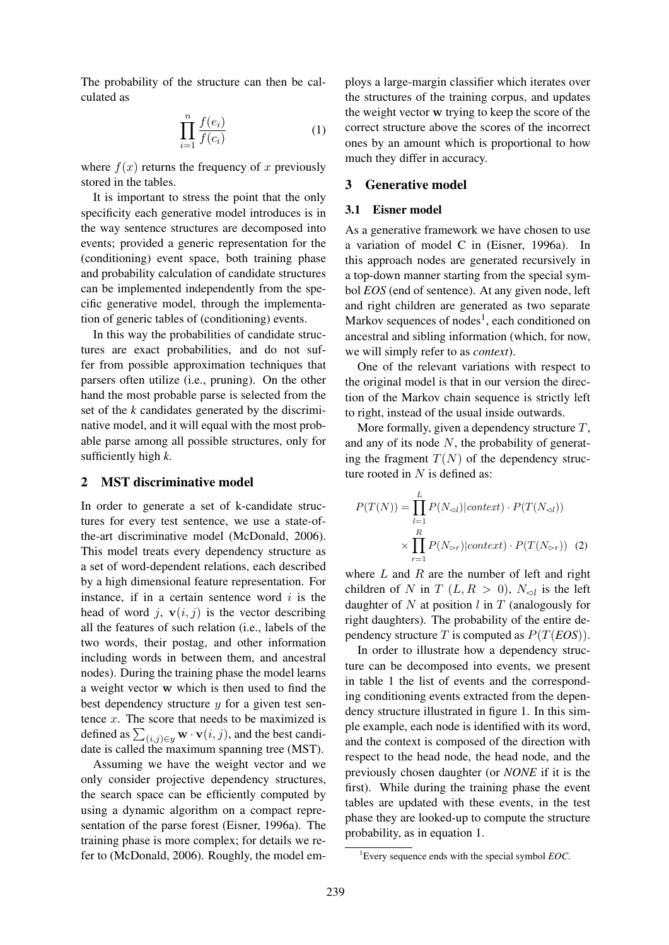The probability of the structure can then be calculated as

$$
\prod_{i=1}^{n} \frac{f(e_i)}{f(c_i)}\tag{1}
$$

where  $f(x)$  returns the frequency of x previously stored in the tables.

It is important to stress the point that the only specificity each generative model introduces is in the way sentence structures are decomposed into events; provided a generic representation for the (conditioning) event space, both training phase and probability calculation of candidate structures can be implemented independently from the specific generative model, through the implementation of generic tables of (conditioning) events.

In this way the probabilities of candidate structures are exact probabilities, and do not suffer from possible approximation techniques that parsers often utilize (i.e., pruning). On the other hand the most probable parse is selected from the set of the *k* candidates generated by the discriminative model, and it will equal with the most probable parse among all possible structures, only for sufficiently high *k*.

#### 2 MST discriminative model

In order to generate a set of k-candidate structures for every test sentence, we use a state-ofthe-art discriminative model (McDonald, 2006). This model treats every dependency structure as a set of word-dependent relations, each described by a high dimensional feature representation. For instance, if in a certain sentence word  $i$  is the head of word j,  $\mathbf{v}(i, j)$  is the vector describing all the features of such relation (i.e., labels of the two words, their postag, and other information including words in between them, and ancestral nodes). During the training phase the model learns a weight vector w which is then used to find the best dependency structure  $y$  for a given test sentence  $x$ . The score that needs to be maximized is defined as  $\sum_{(i,j)\in y} \mathbf{w} \cdot \mathbf{v}(i, j)$ , and the best candidate is called the maximum spanning tree (MST).

Assuming we have the weight vector and we only consider projective dependency structures, the search space can be efficiently computed by using a dynamic algorithm on a compact representation of the parse forest (Eisner, 1996a). The training phase is more complex; for details we refer to (McDonald, 2006). Roughly, the model employs a large-margin classifier which iterates over the structures of the training corpus, and updates the weight vector w trying to keep the score of the correct structure above the scores of the incorrect ones by an amount which is proportional to how much they differ in accuracy.

## 3 Generative model

#### 3.1 Eisner model

As a generative framework we have chosen to use a variation of model C in (Eisner, 1996a). In this approach nodes are generated recursively in a top-down manner starting from the special symbol *EOS* (end of sentence). At any given node, left and right children are generated as two separate Markov sequences of nodes<sup>1</sup>, each conditioned on ancestral and sibling information (which, for now, we will simply refer to as *context*).

One of the relevant variations with respect to the original model is that in our version the direction of the Markov chain sequence is strictly left to right, instead of the usual inside outwards.

More formally, given a dependency structure  $T$ , and any of its node  $N$ , the probability of generating the fragment  $T(N)$  of the dependency structure rooted in  $N$  is defined as:

$$
P(T(N)) = \prod_{l=1}^{L} P(N_{\lhd l}) | context) \cdot P(T(N_{\lhd l}))
$$

$$
\times \prod_{r=1}^{R} P(N_{\lhd r}) | context) \cdot P(T(N_{\lhd r})) \quad (2)
$$

where  $L$  and  $R$  are the number of left and right children of N in T  $(L, R > 0)$ ,  $N_{\lhd}$  is the left daughter of  $N$  at position  $l$  in  $T$  (analogously for right daughters). The probability of the entire dependency structure T is computed as  $P(T(EOS))$ .

In order to illustrate how a dependency structure can be decomposed into events, we present in table 1 the list of events and the corresponding conditioning events extracted from the dependency structure illustrated in figure 1. In this simple example, each node is identified with its word, and the context is composed of the direction with respect to the head node, the head node, and the previously chosen daughter (or *NONE* if it is the first). While during the training phase the event tables are updated with these events, in the test phase they are looked-up to compute the structure probability, as in equation 1.

<sup>1</sup>Every sequence ends with the special symbol *EOC*.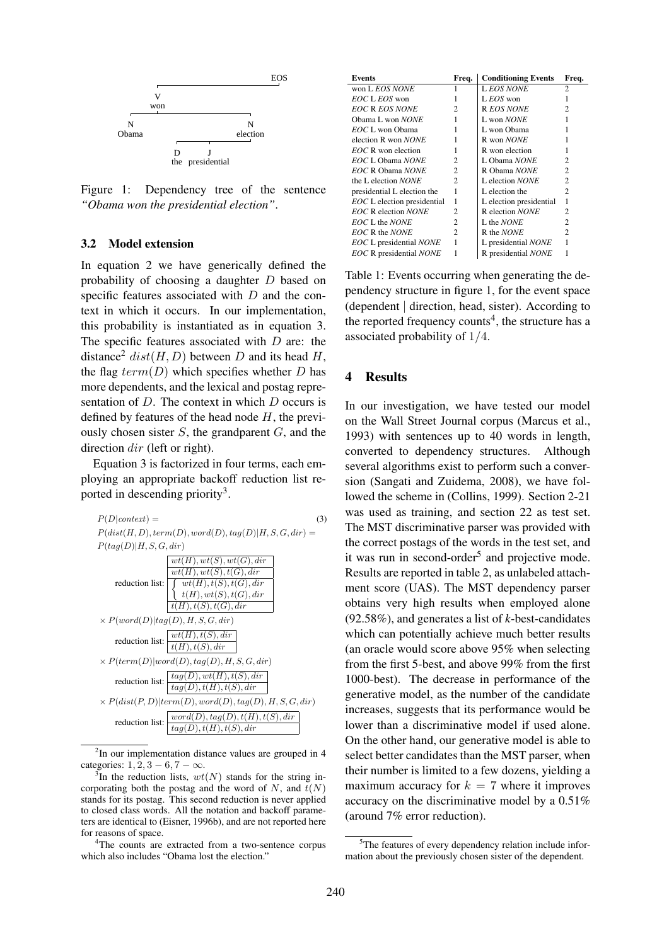

Figure 1: Dependency tree of the sentence *"Obama won the presidential election"*.

### 3.2 Model extension

In equation 2 we have generically defined the probability of choosing a daughter D based on specific features associated with D and the context in which it occurs. In our implementation, this probability is instantiated as in equation 3. The specific features associated with  $D$  are: the distance<sup>2</sup> dist(H, D) between D and its head H, the flag  $term(D)$  which specifies whether D has more dependents, and the lexical and postag representation of D. The context in which D occurs is defined by features of the head node  $H$ , the previously chosen sister  $S$ , the grandparent  $G$ , and the direction dir (left or right).

Equation 3 is factorized in four terms, each employing an appropriate backoff reduction list reported in descending priority<sup>3</sup>.



<sup>2</sup>In our implementation distance values are grouped in 4 categories:  $1, 2, 3 - 6, 7 - \infty$ .

<sup>4</sup>The counts are extracted from a two-sentence corpus which also includes "Obama lost the election."

| Events                                | Freq.          | <b>Conditioning Events</b> | Freq.          |
|---------------------------------------|----------------|----------------------------|----------------|
| won L EOS NONE                        |                | <b>LEOS NONE</b>           | 2              |
| EOC L EOS won                         |                | L <i>EOS</i> won           |                |
| <b>EOC R EOS NONE</b>                 | 2              | R EOS NONE                 | 2              |
| Obama L won NONE                      |                | L won NONE                 |                |
| EOC L won Obama                       |                | L won Obama                |                |
| election R won <i>NONE</i>            |                | R won <i>NONE</i>          |                |
| $EOC$ R won election                  |                | R won election             |                |
| EOC L Obama NONE                      | 2              | L Obama NONE               | っ              |
| EOC R Obama NONE                      | $\mathfrak{D}$ | R Obama NONE               | $\mathfrak{D}$ |
| the L election NONE                   | $\mathfrak{D}$ | L election <i>NONE</i>     | $\mathfrak{D}$ |
| presidential L election the           | 1              | L election the             | 2              |
| <b>EOC</b> L election presidential    | 1              | L election presidential    | 1              |
| <b>EOC R</b> election NONE            | $\mathfrak{D}$ | R election NONE            | $\overline{c}$ |
| EOC L the NONE                        | 2              | L the <i>NONE</i>          | 2              |
| EOC R the NONE                        | 2              | R the <i>NONE</i>          | 2              |
| <b>EOC</b> L presidential <i>NONE</i> | 1              | L presidential NONE        | 1              |
| <b>EOC</b> R presidential <i>NONE</i> |                | R presidential NONE        |                |

Table 1: Events occurring when generating the dependency structure in figure 1, for the event space (dependent | direction, head, sister). According to the reported frequency counts<sup>4</sup>, the structure has a associated probability of 1/4.

## 4 Results

In our investigation, we have tested our model on the Wall Street Journal corpus (Marcus et al., 1993) with sentences up to 40 words in length, converted to dependency structures. Although several algorithms exist to perform such a conversion (Sangati and Zuidema, 2008), we have followed the scheme in (Collins, 1999). Section 2-21 was used as training, and section 22 as test set. The MST discriminative parser was provided with the correct postags of the words in the test set, and it was run in second-order<sup>5</sup> and projective mode. Results are reported in table 2, as unlabeled attachment score (UAS). The MST dependency parser obtains very high results when employed alone (92.58%), and generates a list of *k*-best-candidates which can potentially achieve much better results (an oracle would score above 95% when selecting from the first 5-best, and above 99% from the first 1000-best). The decrease in performance of the generative model, as the number of the candidate increases, suggests that its performance would be lower than a discriminative model if used alone. On the other hand, our generative model is able to select better candidates than the MST parser, when their number is limited to a few dozens, yielding a maximum accuracy for  $k = 7$  where it improves accuracy on the discriminative model by a 0.51% (around 7% error reduction).

 $3$ In the reduction lists,  $wt(N)$  stands for the string incorporating both the postag and the word of  $N$ , and  $t(N)$ stands for its postag. This second reduction is never applied to closed class words. All the notation and backoff parameters are identical to (Eisner, 1996b), and are not reported here for reasons of space.

<sup>&</sup>lt;sup>5</sup>The features of every dependency relation include information about the previously chosen sister of the dependent.